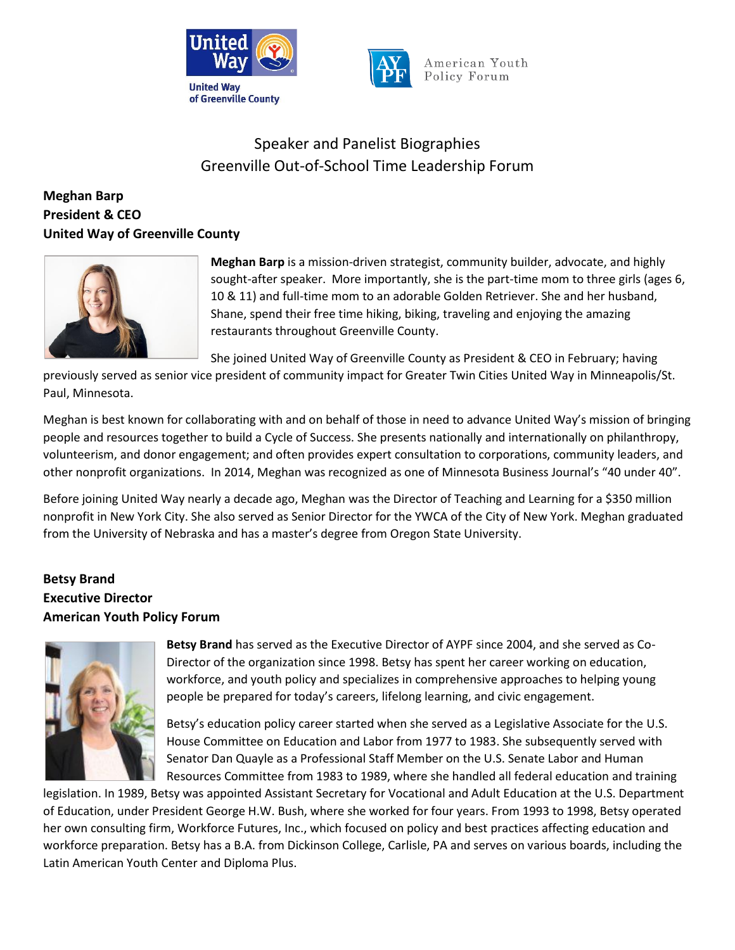



# Speaker and Panelist Biographies Greenville Out-of-School Time Leadership Forum

# **Meghan Barp President & CEO United Way of Greenville County**



**Meghan Barp** is a mission-driven strategist, community builder, advocate, and highly sought-after speaker. More importantly, she is the part-time mom to three girls (ages 6, 10 & 11) and full-time mom to an adorable Golden Retriever. She and her husband, Shane, spend their free time hiking, biking, traveling and enjoying the amazing restaurants throughout Greenville County.

She joined United Way of Greenville County as President & CEO in February; having

previously served as senior vice president of community impact for Greater Twin Cities United Way in Minneapolis/St. Paul, Minnesota.

Meghan is best known for collaborating with and on behalf of those in need to advance United Way's mission of bringing people and resources together to build a Cycle of Success. She presents nationally and internationally on philanthropy, volunteerism, and donor engagement; and often provides expert consultation to corporations, community leaders, and other nonprofit organizations. In 2014, Meghan was recognized as one of Minnesota Business Journal's "40 under 40".

Before joining United Way nearly a decade ago, Meghan was the Director of Teaching and Learning for a \$350 million nonprofit in New York City. She also served as Senior Director for the YWCA of the City of New York. Meghan graduated from the University of Nebraska and has a master's degree from Oregon State University.

# **Betsy Brand Executive Director American Youth Policy Forum**



**Betsy Brand** has served as the Executive Director of AYPF since 2004, and she served as Co-Director of the organization since 1998. Betsy has spent her career working on education, workforce, and youth policy and specializes in comprehensive approaches to helping young people be prepared for today's careers, lifelong learning, and civic engagement.

Betsy's education policy career started when she served as a Legislative Associate for the U.S. House Committee on Education and Labor from 1977 to 1983. She subsequently served with Senator Dan Quayle as a Professional Staff Member on the U.S. Senate Labor and Human Resources Committee from 1983 to 1989, where she handled all federal education and training

legislation. In 1989, Betsy was appointed Assistant Secretary for Vocational and Adult Education at the U.S. Department of Education, under President George H.W. Bush, where she worked for four years. From 1993 to 1998, Betsy operated her own consulting firm, Workforce Futures, Inc., which focused on policy and best practices affecting education and workforce preparation. Betsy has a B.A. from Dickinson College, Carlisle, PA and serves on various boards, including the Latin American Youth Center and Diploma Plus.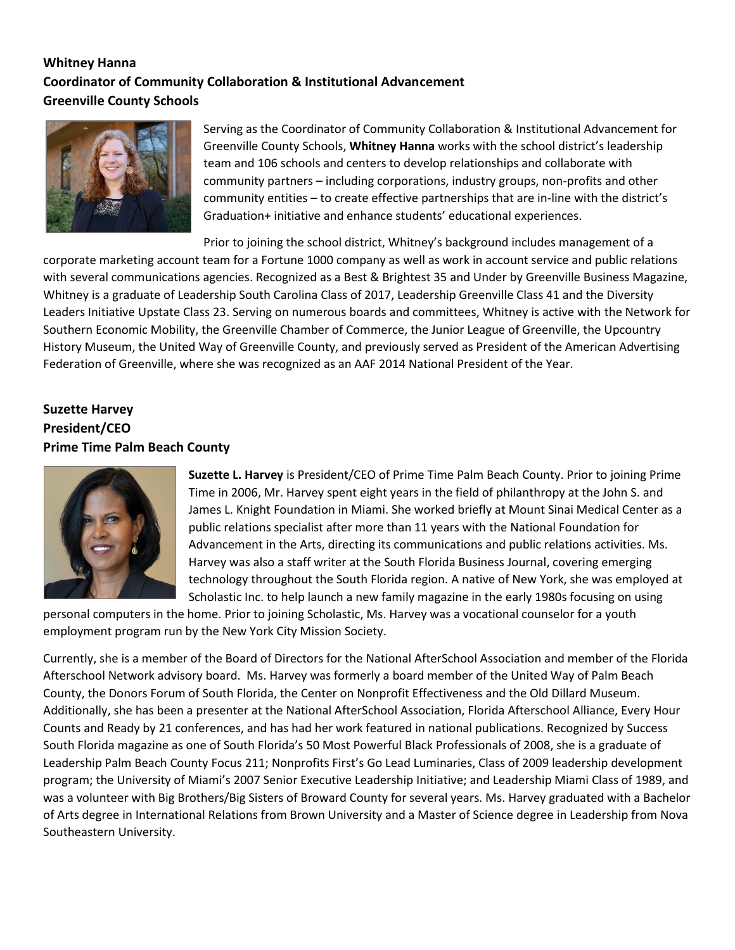# **Whitney Hanna Coordinator of Community Collaboration & Institutional Advancement Greenville County Schools**



Serving as the Coordinator of Community Collaboration & Institutional Advancement for Greenville County Schools, **Whitney Hanna** works with the school district's leadership team and 106 schools and centers to develop relationships and collaborate with community partners – including corporations, industry groups, non-profits and other community entities – to create effective partnerships that are in-line with the district's Graduation+ initiative and enhance students' educational experiences.

Prior to joining the school district, Whitney's background includes management of a

corporate marketing account team for a Fortune 1000 company as well as work in account service and public relations with several communications agencies. Recognized as a Best & Brightest 35 and Under by Greenville Business Magazine, Whitney is a graduate of Leadership South Carolina Class of 2017, Leadership Greenville Class 41 and the Diversity Leaders Initiative Upstate Class 23. Serving on numerous boards and committees, Whitney is active with the Network for Southern Economic Mobility, the Greenville Chamber of Commerce, the Junior League of Greenville, the Upcountry History Museum, the United Way of Greenville County, and previously served as President of the American Advertising Federation of Greenville, where she was recognized as an AAF 2014 National President of the Year.

# **Suzette Harvey President/CEO Prime Time Palm Beach County**



**Suzette L. Harvey** is President/CEO of Prime Time Palm Beach County. Prior to joining Prime Time in 2006, Mr. Harvey spent eight years in the field of philanthropy at the John S. and James L. Knight Foundation in Miami. She worked briefly at Mount Sinai Medical Center as a public relations specialist after more than 11 years with the National Foundation for Advancement in the Arts, directing its communications and public relations activities. Ms. Harvey was also a staff writer at the South Florida Business Journal, covering emerging technology throughout the South Florida region. A native of New York, she was employed at Scholastic Inc. to help launch a new family magazine in the early 1980s focusing on using

personal computers in the home. Prior to joining Scholastic, Ms. Harvey was a vocational counselor for a youth employment program run by the New York City Mission Society.

Currently, she is a member of the Board of Directors for the National AfterSchool Association and member of the Florida Afterschool Network advisory board. Ms. Harvey was formerly a board member of the United Way of Palm Beach County, the Donors Forum of South Florida, the Center on Nonprofit Effectiveness and the Old Dillard Museum. Additionally, she has been a presenter at the National AfterSchool Association, Florida Afterschool Alliance, Every Hour Counts and Ready by 21 conferences, and has had her work featured in national publications. Recognized by Success South Florida magazine as one of South Florida's 50 Most Powerful Black Professionals of 2008, she is a graduate of Leadership Palm Beach County Focus 211; Nonprofits First's Go Lead Luminaries, Class of 2009 leadership development program; the University of Miami's 2007 Senior Executive Leadership Initiative; and Leadership Miami Class of 1989, and was a volunteer with Big Brothers/Big Sisters of Broward County for several years. Ms. Harvey graduated with a Bachelor of Arts degree in International Relations from Brown University and a Master of Science degree in Leadership from Nova Southeastern University.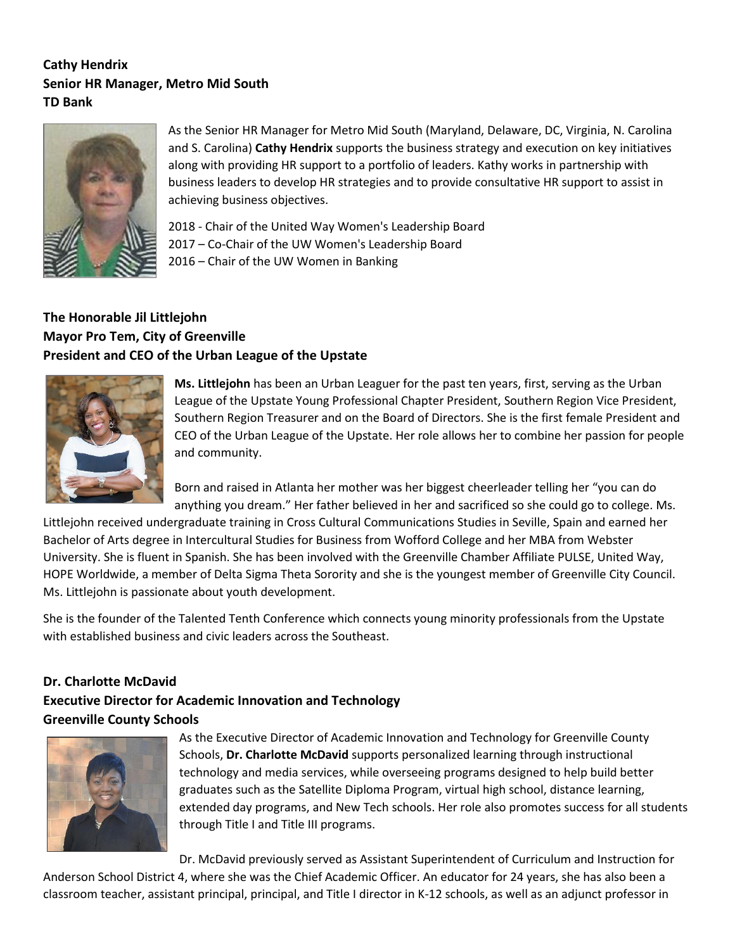# **Cathy Hendrix Senior HR Manager, Metro Mid South TD Bank**



As the Senior HR Manager for Metro Mid South (Maryland, Delaware, DC, Virginia, N. Carolina and S. Carolina) **Cathy Hendrix** supports the business strategy and execution on key initiatives along with providing HR support to a portfolio of leaders. Kathy works in partnership with business leaders to develop HR strategies and to provide consultative HR support to assist in achieving business objectives.

2018 - Chair of the United Way Women's Leadership Board 2017 – Co-Chair of the UW Women's Leadership Board 2016 – Chair of the UW Women in Banking

# **The Honorable Jil Littlejohn Mayor Pro Tem, City of Greenville President and CEO of the Urban League of the Upstate**



**Ms. Littlejohn** has been an Urban Leaguer for the past ten years, first, serving as the Urban League of the Upstate Young Professional Chapter President, Southern Region Vice President, Southern Region Treasurer and on the Board of Directors. She is the first female President and CEO of the Urban League of the Upstate. Her role allows her to combine her passion for people and community.

Born and raised in Atlanta her mother was her biggest cheerleader telling her "you can do anything you dream." Her father believed in her and sacrificed so she could go to college. Ms.

Littlejohn received undergraduate training in Cross Cultural Communications Studies in Seville, Spain and earned her Bachelor of Arts degree in Intercultural Studies for Business from Wofford College and her MBA from Webster University. She is fluent in Spanish. She has been involved with the Greenville Chamber Affiliate PULSE, United Way, HOPE Worldwide, a member of Delta Sigma Theta Sorority and she is the youngest member of Greenville City Council. Ms. Littlejohn is passionate about youth development.

She is the founder of the Talented Tenth Conference which connects young minority professionals from the Upstate with established business and civic leaders across the Southeast.

#### **Dr. Charlotte McDavid**

# **Executive Director for Academic Innovation and Technology Greenville County Schools**



As the Executive Director of Academic Innovation and Technology for Greenville County Schools, **Dr. Charlotte McDavid** supports personalized learning through instructional technology and media services, while overseeing programs designed to help build better graduates such as the Satellite Diploma Program, virtual high school, distance learning, extended day programs, and New Tech schools. Her role also promotes success for all students through Title I and Title III programs.

Dr. McDavid previously served as Assistant Superintendent of Curriculum and Instruction for

Anderson School District 4, where she was the Chief Academic Officer. An educator for 24 years, she has also been a classroom teacher, assistant principal, principal, and Title I director in K-12 schools, as well as an adjunct professor in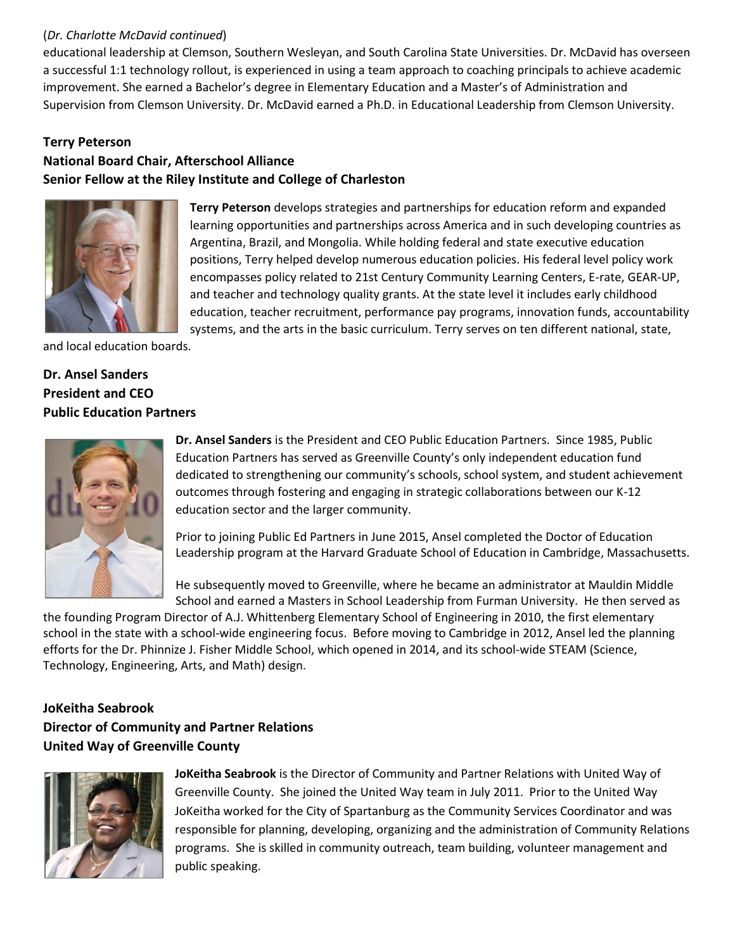#### (*Dr. Charlotte McDavid continued*)

educational leadership at Clemson, Southern Wesleyan, and South Carolina State Universities. Dr. McDavid has overseen a successful 1:1 technology rollout, is experienced in using a team approach to coaching principals to achieve academic improvement. She earned a Bachelor's degree in Elementary Education and a Master's of Administration and Supervision from Clemson University. Dr. McDavid earned a Ph.D. in Educational Leadership from Clemson University.

#### **Terry Peterson**

# **National Board Chair, Afterschool Alliance Senior Fellow at the Riley Institute and College of Charleston**



**Terry Peterson** develops strategies and partnerships for education reform and expanded learning opportunities and partnerships across America and in such developing countries as Argentina, Brazil, and Mongolia. While holding federal and state executive education positions, Terry helped develop numerous education policies. His federal level policy work encompasses policy related to 21st Century Community Learning Centers, E-rate, GEAR-UP, and teacher and technology quality grants. At the state level it includes early childhood education, teacher recruitment, performance pay programs, innovation funds, accountability systems, and the arts in the basic curriculum. Terry serves on ten different national, state,

and local education boards.

# **Dr. Ansel Sanders President and CEO Public Education Partners**



**Dr. Ansel Sanders** is the President and CEO Public Education Partners. Since 1985, Public Education Partners has served as Greenville County's only independent education fund dedicated to strengthening our community's schools, school system, and student achievement outcomes through fostering and engaging in strategic collaborations between our K-12 education sector and the larger community.

Prior to joining Public Ed Partners in June 2015, Ansel completed the Doctor of Education Leadership program at the Harvard Graduate School of Education in Cambridge, Massachusetts.

He subsequently moved to Greenville, where he became an administrator at Mauldin Middle School and earned a Masters in School Leadership from Furman University. He then served as

the founding Program Director of A.J. Whittenberg Elementary School of Engineering in 2010, the first elementary school in the state with a school-wide engineering focus. Before moving to Cambridge in 2012, Ansel led the planning efforts for the Dr. Phinnize J. Fisher Middle School, which opened in 2014, and its school-wide STEAM (Science, Technology, Engineering, Arts, and Math) design.

# **JoKeitha Seabrook Director of Community and Partner Relations United Way of Greenville County**



**JoKeitha Seabrook** is the Director of Community and Partner Relations with United Way of Greenville County. She joined the United Way team in July 2011. Prior to the United Way JoKeitha worked for the City of Spartanburg as the Community Services Coordinator and was responsible for planning, developing, organizing and the administration of Community Relations programs. She is skilled in community outreach, team building, volunteer management and public speaking.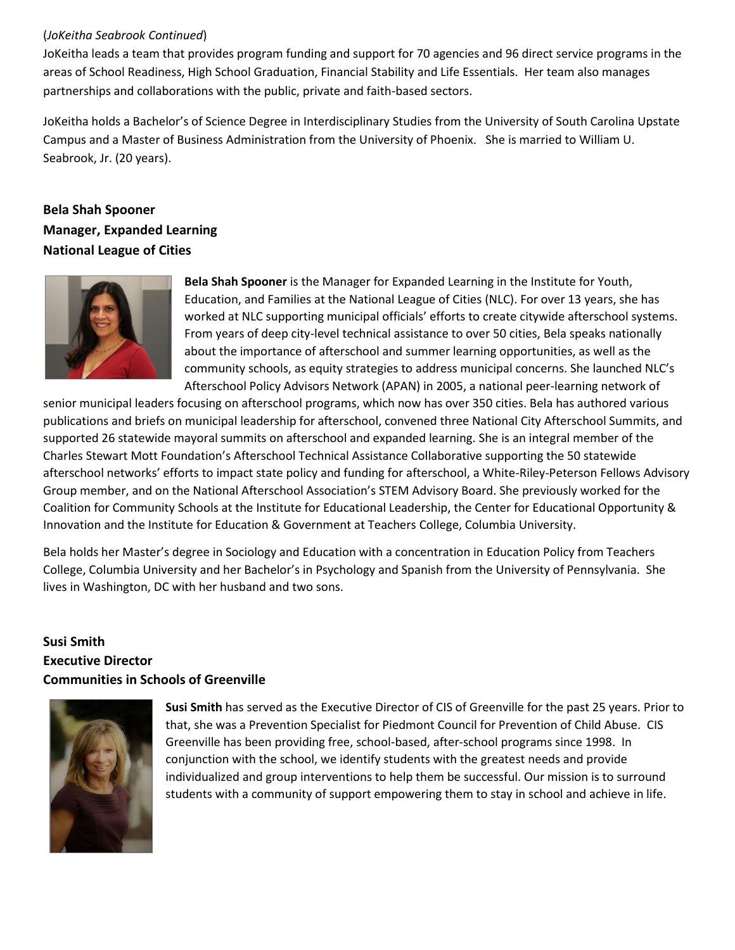#### (*JoKeitha Seabrook Continued*)

JoKeitha leads a team that provides program funding and support for 70 agencies and 96 direct service programs in the areas of School Readiness, High School Graduation, Financial Stability and Life Essentials. Her team also manages partnerships and collaborations with the public, private and faith-based sectors.

JoKeitha holds a Bachelor's of Science Degree in Interdisciplinary Studies from the University of South Carolina Upstate Campus and a Master of Business Administration from the University of Phoenix. She is married to William U. Seabrook, Jr. (20 years).

# **Bela Shah Spooner Manager, Expanded Learning National League of Cities**



**Bela Shah Spooner** is the Manager for Expanded Learning in the Institute for Youth, Education, and Families at the National League of Cities (NLC). For over 13 years, she has worked at NLC supporting municipal officials' efforts to create citywide afterschool systems. From years of deep city-level technical assistance to over 50 cities, Bela speaks nationally about the importance of afterschool and summer learning opportunities, as well as the community schools, as equity strategies to address municipal concerns. She launched NLC's Afterschool Policy Advisors Network (APAN) in 2005, a national peer-learning network of

senior municipal leaders focusing on afterschool programs, which now has over 350 cities. Bela has authored various publications and briefs on municipal leadership for afterschool, convened three National City Afterschool Summits, and supported 26 statewide mayoral summits on afterschool and expanded learning. She is an integral member of the Charles Stewart Mott Foundation's Afterschool Technical Assistance Collaborative supporting the 50 statewide afterschool networks' efforts to impact state policy and funding for afterschool, a White-Riley-Peterson Fellows Advisory Group member, and on the National Afterschool Association's STEM Advisory Board. She previously worked for the Coalition for Community Schools at the Institute for Educational Leadership, the Center for Educational Opportunity & Innovation and the Institute for Education & Government at Teachers College, Columbia University.

Bela holds her Master's degree in Sociology and Education with a concentration in Education Policy from Teachers College, Columbia University and her Bachelor's in Psychology and Spanish from the University of Pennsylvania. She lives in Washington, DC with her husband and two sons.

### **Susi Smith Executive Director Communities in Schools of Greenville**



**Susi Smith** has served as the Executive Director of CIS of Greenville for the past 25 years. Prior to that, she was a Prevention Specialist for Piedmont Council for Prevention of Child Abuse. CIS Greenville has been providing free, school-based, after-school programs since 1998. In conjunction with the school, we identify students with the greatest needs and provide individualized and group interventions to help them be successful. Our mission is to surround students with a community of support empowering them to stay in school and achieve in life.